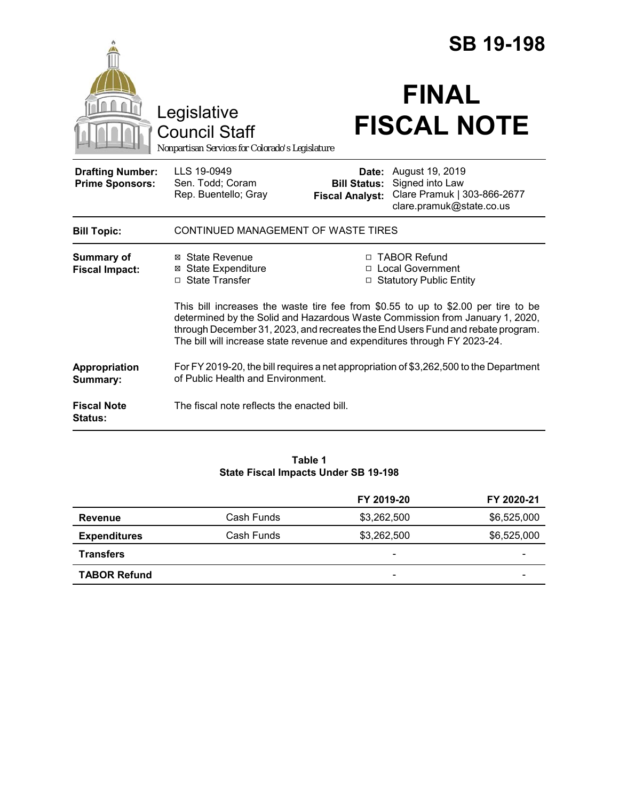|                                                   |                                                                                        |                                               | <b>SB 19-198</b>                                                                                                                                                                                                                                       |
|---------------------------------------------------|----------------------------------------------------------------------------------------|-----------------------------------------------|--------------------------------------------------------------------------------------------------------------------------------------------------------------------------------------------------------------------------------------------------------|
|                                                   | Legislative<br><b>Council Staff</b><br>Nonpartisan Services for Colorado's Legislature |                                               | <b>FINAL</b><br><b>FISCAL NOTE</b>                                                                                                                                                                                                                     |
| <b>Drafting Number:</b><br><b>Prime Sponsors:</b> | LLS 19-0949<br>Sen. Todd; Coram<br>Rep. Buentello; Gray                                | <b>Bill Status:</b><br><b>Fiscal Analyst:</b> | Date: August 19, 2019<br>Signed into Law<br>Clare Pramuk   303-866-2677<br>clare.pramuk@state.co.us                                                                                                                                                    |
| <b>Bill Topic:</b>                                | CONTINUED MANAGEMENT OF WASTE TIRES                                                    |                                               |                                                                                                                                                                                                                                                        |
| <b>Summary of</b><br><b>Fiscal Impact:</b>        | ⊠ State Revenue<br><b>State Expenditure</b><br>⊠<br>□ State Transfer                   |                                               | □ TABOR Refund<br>□ Local Government<br>□ Statutory Public Entity                                                                                                                                                                                      |
|                                                   | The bill will increase state revenue and expenditures through FY 2023-24.              |                                               | This bill increases the waste tire fee from $$0.55$ to up to $$2.00$ per tire to be<br>determined by the Solid and Hazardous Waste Commission from January 1, 2020,<br>through December 31, 2023, and recreates the End Users Fund and rebate program. |
| Appropriation<br>Summary:                         | of Public Health and Environment.                                                      |                                               | For FY 2019-20, the bill requires a net appropriation of \$3,262,500 to the Department                                                                                                                                                                 |
| <b>Fiscal Note</b><br><b>Status:</b>              | The fiscal note reflects the enacted bill.                                             |                                               |                                                                                                                                                                                                                                                        |

#### **Table 1 State Fiscal Impacts Under SB 19-198**

|                     |            | FY 2019-20                   | FY 2020-21  |
|---------------------|------------|------------------------------|-------------|
| <b>Revenue</b>      | Cash Funds | \$3,262,500                  | \$6,525,000 |
| <b>Expenditures</b> | Cash Funds | \$3,262,500                  | \$6,525,000 |
| <b>Transfers</b>    |            | -                            |             |
| <b>TABOR Refund</b> |            | $\qquad \qquad \blacksquare$ | -           |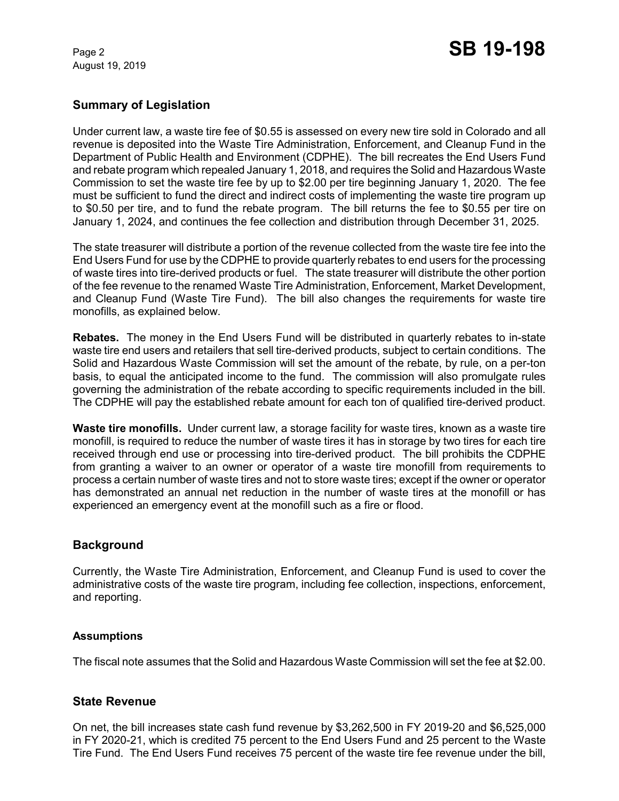August 19, 2019

## **Summary of Legislation**

Under current law, a waste tire fee of \$0.55 is assessed on every new tire sold in Colorado and all revenue is deposited into the Waste Tire Administration, Enforcement, and Cleanup Fund in the Department of Public Health and Environment (CDPHE). The bill recreates the End Users Fund and rebate program which repealed January 1, 2018, and requires the Solid and Hazardous Waste Commission to set the waste tire fee by up to \$2.00 per tire beginning January 1, 2020. The fee must be sufficient to fund the direct and indirect costs of implementing the waste tire program up to \$0.50 per tire, and to fund the rebate program. The bill returns the fee to \$0.55 per tire on January 1, 2024, and continues the fee collection and distribution through December 31, 2025.

The state treasurer will distribute a portion of the revenue collected from the waste tire fee into the End Users Fund for use by the CDPHE to provide quarterly rebates to end users for the processing of waste tires into tire-derived products or fuel. The state treasurer will distribute the other portion of the fee revenue to the renamed Waste Tire Administration, Enforcement, Market Development, and Cleanup Fund (Waste Tire Fund). The bill also changes the requirements for waste tire monofills, as explained below.

**Rebates.** The money in the End Users Fund will be distributed in quarterly rebates to in-state waste tire end users and retailers that sell tire-derived products, subject to certain conditions. The Solid and Hazardous Waste Commission will set the amount of the rebate, by rule, on a per-ton basis, to equal the anticipated income to the fund. The commission will also promulgate rules governing the administration of the rebate according to specific requirements included in the bill. The CDPHE will pay the established rebate amount for each ton of qualified tire-derived product.

**Waste tire monofills.** Under current law, a storage facility for waste tires, known as a waste tire monofill, is required to reduce the number of waste tires it has in storage by two tires for each tire received through end use or processing into tire-derived product. The bill prohibits the CDPHE from granting a waiver to an owner or operator of a waste tire monofill from requirements to process a certain number of waste tires and not to store waste tires; except if the owner or operator has demonstrated an annual net reduction in the number of waste tires at the monofill or has experienced an emergency event at the monofill such as a fire or flood.

## **Background**

Currently, the Waste Tire Administration, Enforcement, and Cleanup Fund is used to cover the administrative costs of the waste tire program, including fee collection, inspections, enforcement, and reporting.

### **Assumptions**

The fiscal note assumes that the Solid and Hazardous Waste Commission will set the fee at \$2.00.

### **State Revenue**

On net, the bill increases state cash fund revenue by \$3,262,500 in FY 2019-20 and \$6,525,000 in FY 2020-21, which is credited 75 percent to the End Users Fund and 25 percent to the Waste Tire Fund. The End Users Fund receives 75 percent of the waste tire fee revenue under the bill,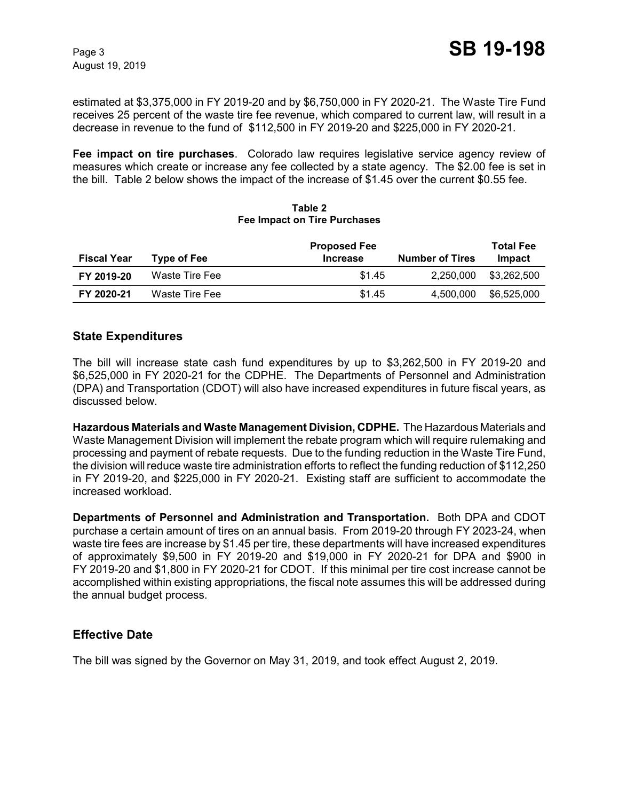estimated at \$3,375,000 in FY 2019-20 and by \$6,750,000 in FY 2020-21. The Waste Tire Fund receives 25 percent of the waste tire fee revenue, which compared to current law, will result in a decrease in revenue to the fund of \$112,500 in FY 2019-20 and \$225,000 in FY 2020-21.

**Fee impact on tire purchases**. Colorado law requires legislative service agency review of measures which create or increase any fee collected by a state agency. The \$2.00 fee is set in the bill. Table 2 below shows the impact of the increase of \$1.45 over the current \$0.55 fee.

| <b>Fiscal Year</b> | Type of Fee l  | <b>Proposed Fee</b><br><b>Increase</b> | <b>Number of Tires</b> | <b>Total Fee</b><br>Impact |
|--------------------|----------------|----------------------------------------|------------------------|----------------------------|
| FY 2019-20         | Waste Tire Fee | \$1.45                                 | 2.250.000              | \$3,262,500                |
| FY 2020-21         | Waste Tire Fee | \$1.45                                 | 4.500.000              | \$6,525,000                |

#### **Table 2 Fee Impact on Tire Purchases**

## **State Expenditures**

The bill will increase state cash fund expenditures by up to \$3,262,500 in FY 2019-20 and \$6,525,000 in FY 2020-21 for the CDPHE. The Departments of Personnel and Administration (DPA) and Transportation (CDOT) will also have increased expenditures in future fiscal years, as discussed below.

**Hazardous Materials and Waste Management Division, CDPHE.** The Hazardous Materials and Waste Management Division will implement the rebate program which will require rulemaking and processing and payment of rebate requests. Due to the funding reduction in the Waste Tire Fund, the division willreduce waste tire administration efforts to reflect the funding reduction of \$112,250 in FY 2019-20, and \$225,000 in FY 2020-21. Existing staff are sufficient to accommodate the increased workload.

**Departments of Personnel and Administration and Transportation.** Both DPA and CDOT purchase a certain amount of tires on an annual basis. From 2019-20 through FY 2023-24, when waste tire fees are increase by \$1.45 per tire, these departments will have increased expenditures of approximately \$9,500 in FY 2019-20 and \$19,000 in FY 2020-21 for DPA and \$900 in FY 2019-20 and \$1,800 in FY 2020-21 for CDOT. If this minimal per tire cost increase cannot be accomplished within existing appropriations, the fiscal note assumes this will be addressed during the annual budget process.

### **Effective Date**

The bill was signed by the Governor on May 31, 2019, and took effect August 2, 2019.